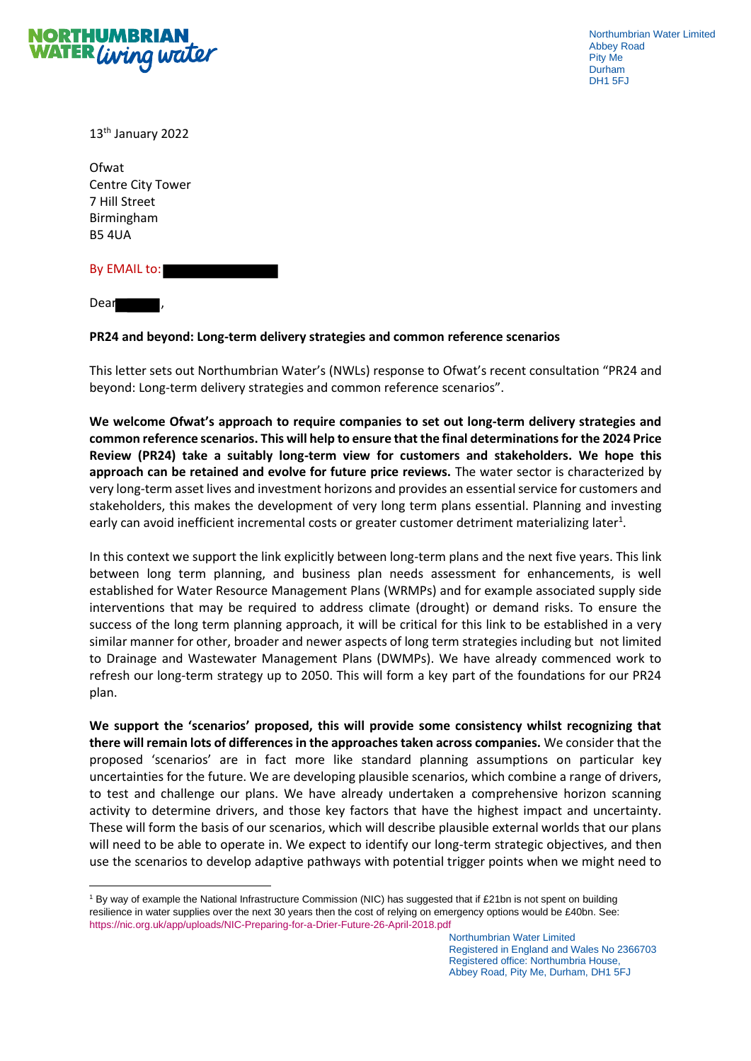

Northumbrian Water Limited Abbey Road Pity Me Durham DH1 5FJ

13th January 2022

Ofwat Centre City Tower 7 Hill Street Birmingham B5 4UA

By EMAIL to:

**Dear** 

## **PR24 and beyond: Long-term delivery strategies and common reference scenarios**

This letter sets out Northumbrian Water's (NWLs) response to Ofwat's recent consultation "PR24 and beyond: Long-term delivery strategies and common reference scenarios".

**We welcome Ofwat's approach to require companies to set out long-term delivery strategies and common reference scenarios. This will help to ensure that the final determinations for the 2024 Price Review (PR24) take a suitably long-term view for customers and stakeholders. We hope this approach can be retained and evolve for future price reviews.** The water sector is characterized by very long-term asset lives and investment horizons and provides an essential service for customers and stakeholders, this makes the development of very long term plans essential. Planning and investing early can avoid inefficient incremental costs or greater customer detriment materializing later<sup>1</sup>.

In this context we support the link explicitly between long-term plans and the next five years. This link between long term planning, and business plan needs assessment for enhancements, is well established for Water Resource Management Plans (WRMPs) and for example associated supply side interventions that may be required to address climate (drought) or demand risks. To ensure the success of the long term planning approach, it will be critical for this link to be established in a very similar manner for other, broader and newer aspects of long term strategies including but not limited to Drainage and Wastewater Management Plans (DWMPs). We have already commenced work to refresh our long-term strategy up to 2050. This will form a key part of the foundations for our PR24 plan.

**We support the 'scenarios' proposed, this will provide some consistency whilst recognizing that there will remain lots of differences in the approaches taken across companies.** We consider that the proposed 'scenarios' are in fact more like standard planning assumptions on particular key uncertainties for the future. We are developing plausible scenarios, which combine a range of drivers, to test and challenge our plans. We have already undertaken a comprehensive horizon scanning activity to determine drivers, and those key factors that have the highest impact and uncertainty. These will form the basis of our scenarios, which will describe plausible external worlds that our plans will need to be able to operate in. We expect to identify our long-term strategic objectives, and then use the scenarios to develop adaptive pathways with potential trigger points when we might need to

<sup>1</sup> By way of example the National Infrastructure Commission (NIC) has suggested that if £21bn is not spent on building resilience in water supplies over the next 30 years then the cost of relying on emergency options would be £40bn. See: <https://nic.org.uk/app/uploads/NIC-Preparing-for-a-Drier-Future-26-April-2018.pdf>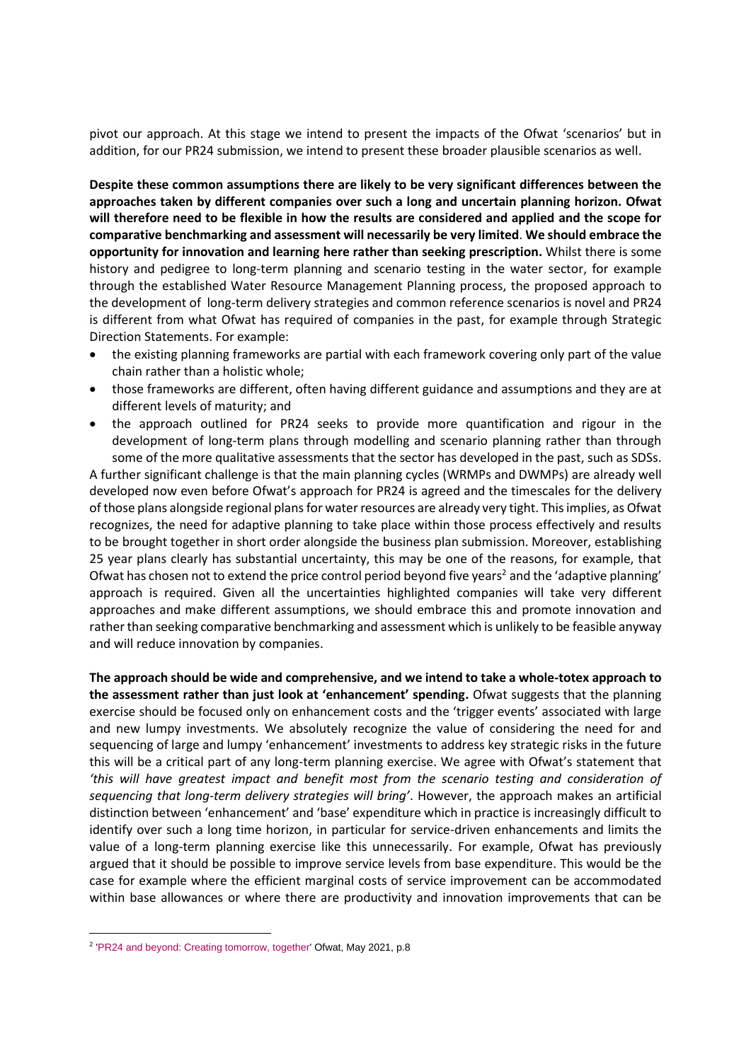pivot our approach. At this stage we intend to present the impacts of the Ofwat 'scenarios' but in addition, for our PR24 submission, we intend to present these broader plausible scenarios as well.

**Despite these common assumptions there are likely to be very significant differences between the approaches taken by different companies over such a long and uncertain planning horizon. Ofwat will therefore need to be flexible in how the results are considered and applied and the scope for comparative benchmarking and assessment will necessarily be very limited**. **We should embrace the opportunity for innovation and learning here rather than seeking prescription.** Whilst there is some history and pedigree to long-term planning and scenario testing in the water sector, for example through the established Water Resource Management Planning process, the proposed approach to the development of long-term delivery strategies and common reference scenarios is novel and PR24 is different from what Ofwat has required of companies in the past, for example through Strategic Direction Statements. For example:

- the existing planning frameworks are partial with each framework covering only part of the value chain rather than a holistic whole;
- those frameworks are different, often having different guidance and assumptions and they are at different levels of maturity; and
- the approach outlined for PR24 seeks to provide more quantification and rigour in the development of long-term plans through modelling and scenario planning rather than through some of the more qualitative assessments that the sector has developed in the past, such as SDSs.

A further significant challenge is that the main planning cycles (WRMPs and DWMPs) are already well developed now even before Ofwat's approach for PR24 is agreed and the timescales for the delivery of those plans alongside regional plans for water resources are already very tight. This implies, as Ofwat recognizes, the need for adaptive planning to take place within those process effectively and results to be brought together in short order alongside the business plan submission. Moreover, establishing 25 year plans clearly has substantial uncertainty, this may be one of the reasons, for example, that Ofwat has chosen not to extend the price control period beyond five years<sup>2</sup> and the 'adaptive planning' approach is required. Given all the uncertainties highlighted companies will take very different approaches and make different assumptions, we should embrace this and promote innovation and rather than seeking comparative benchmarking and assessment which is unlikely to be feasible anyway and will reduce innovation by companies.

**The approach should be wide and comprehensive, and we intend to take a whole-totex approach to the assessment rather than just look at 'enhancement' spending.** Ofwat suggests that the planning exercise should be focused only on enhancement costs and the 'trigger events' associated with large and new lumpy investments. We absolutely recognize the value of considering the need for and sequencing of large and lumpy 'enhancement' investments to address key strategic risks in the future this will be a critical part of any long-term planning exercise. We agree with Ofwat's statement that *'this will have greatest impact and benefit most from the scenario testing and consideration of sequencing that long-term delivery strategies will bring'*. However, the approach makes an artificial distinction between 'enhancement' and 'base' expenditure which in practice is increasingly difficult to identify over such a long time horizon, in particular for service-driven enhancements and limits the value of a long-term planning exercise like this unnecessarily. For example, Ofwat has previously argued that it should be possible to improve service levels from base expenditure. This would be the case for example where the efficient marginal costs of service improvement can be accommodated within base allowances or where there are productivity and innovation improvements that can be

<sup>&</sup>lt;sup>2</sup> ['PR24 and beyond: Creating tomorrow, together'](https://www.ofwat.gov.uk/wp-content/uploads/2021/05/PR24-and-Beyond-Creating-tomorrow-together.pdf) Ofwat, May 2021, p.8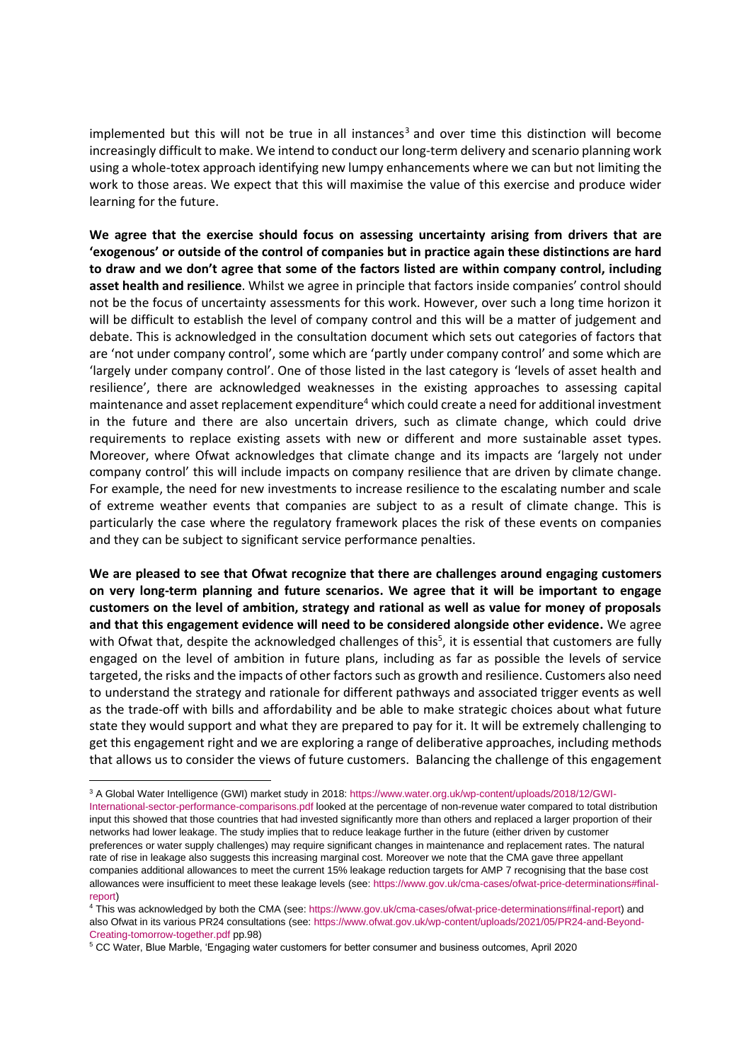implemented but this will not be true in all instances<sup>3</sup> and over time this distinction will become increasingly difficult to make. We intend to conduct our long-term delivery and scenario planning work using a whole-totex approach identifying new lumpy enhancements where we can but not limiting the work to those areas. We expect that this will maximise the value of this exercise and produce wider learning for the future.

**We agree that the exercise should focus on assessing uncertainty arising from drivers that are 'exogenous' or outside of the control of companies but in practice again these distinctions are hard to draw and we don't agree that some of the factors listed are within company control, including asset health and resilience**. Whilst we agree in principle that factors inside companies' control should not be the focus of uncertainty assessments for this work. However, over such a long time horizon it will be difficult to establish the level of company control and this will be a matter of judgement and debate. This is acknowledged in the consultation document which sets out categories of factors that are 'not under company control', some which are 'partly under company control' and some which are 'largely under company control'. One of those listed in the last category is 'levels of asset health and resilience', there are acknowledged weaknesses in the existing approaches to assessing capital maintenance and asset replacement expenditure<sup>4</sup> which could create a need for additional investment in the future and there are also uncertain drivers, such as climate change, which could drive requirements to replace existing assets with new or different and more sustainable asset types. Moreover, where Ofwat acknowledges that climate change and its impacts are 'largely not under company control' this will include impacts on company resilience that are driven by climate change. For example, the need for new investments to increase resilience to the escalating number and scale of extreme weather events that companies are subject to as a result of climate change. This is particularly the case where the regulatory framework places the risk of these events on companies and they can be subject to significant service performance penalties.

**We are pleased to see that Ofwat recognize that there are challenges around engaging customers on very long-term planning and future scenarios. We agree that it will be important to engage customers on the level of ambition, strategy and rational as well as value for money of proposals and that this engagement evidence will need to be considered alongside other evidence.** We agree with Ofwat that, despite the acknowledged challenges of this<sup>5</sup>, it is essential that customers are fully engaged on the level of ambition in future plans, including as far as possible the levels of service targeted, the risks and the impacts of other factors such as growth and resilience. Customers also need to understand the strategy and rationale for different pathways and associated trigger events as well as the trade-off with bills and affordability and be able to make strategic choices about what future state they would support and what they are prepared to pay for it. It will be extremely challenging to get this engagement right and we are exploring a range of deliberative approaches, including methods that allows us to consider the views of future customers. Balancing the challenge of this engagement

<sup>3</sup> A Global Water Intelligence (GWI) market study in 2018: [https://www.water.org.uk/wp-content/uploads/2018/12/GWI-](https://www.water.org.uk/wp-content/uploads/2018/12/GWI-International-sector-performance-comparisons.pdf)

[International-sector-performance-comparisons.pdf](https://www.water.org.uk/wp-content/uploads/2018/12/GWI-International-sector-performance-comparisons.pdf) looked at the percentage of non-revenue water compared to total distribution input this showed that those countries that had invested significantly more than others and replaced a larger proportion of their networks had lower leakage. The study implies that to reduce leakage further in the future (either driven by customer preferences or water supply challenges) may require significant changes in maintenance and replacement rates. The natural rate of rise in leakage also suggests this increasing marginal cost. Moreover we note that the CMA gave three appellant companies additional allowances to meet the current 15% leakage reduction targets for AMP 7 recognising that the base cost allowances were insufficient to meet these leakage levels (see: [https://www.gov.uk/cma-cases/ofwat-price-determinations#final](https://www.gov.uk/cma-cases/ofwat-price-determinations#final-report)[report\)](https://www.gov.uk/cma-cases/ofwat-price-determinations#final-report)

<sup>4</sup> This was acknowledged by both the CMA (see: [https://www.gov.uk/cma-cases/ofwat-price-determinations#final-report\)](https://www.gov.uk/cma-cases/ofwat-price-determinations#final-report) and also Ofwat in its various PR24 consultations (see: [https://www.ofwat.gov.uk/wp-content/uploads/2021/05/PR24-and-Beyond-](https://www.ofwat.gov.uk/wp-content/uploads/2021/05/PR24-and-Beyond-Creating-tomorrow-together.pdf)[Creating-tomorrow-together.pdf](https://www.ofwat.gov.uk/wp-content/uploads/2021/05/PR24-and-Beyond-Creating-tomorrow-together.pdf) pp.98)

<sup>5</sup> CC Water, Blue Marble, 'Engaging water customers for better consumer and business outcomes, April 2020